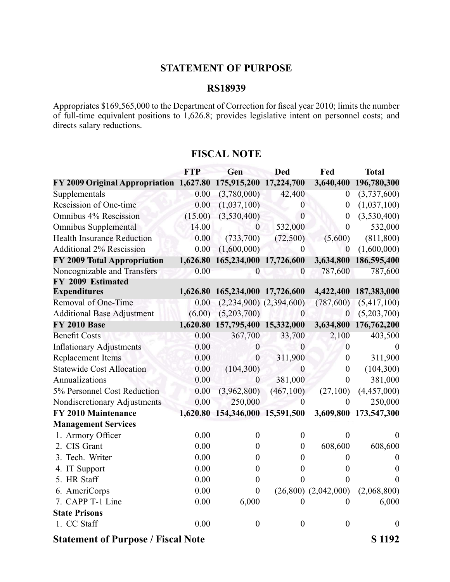## **STATEMENT OF PURPOSE**

#### **RS18939**

Appropriates \$169,565,000 to the Department of Correction for fiscal year 2010; limits the number of full-time equivalent positions to 1,626.8; provides legislative intent on personnel costs; and directs salary reductions.

### **FISCAL NOTE**

|                                         | <b>FTP</b> | Gen                    | <b>Ded</b>                  | Fed                      | <b>Total</b>     |
|-----------------------------------------|------------|------------------------|-----------------------------|--------------------------|------------------|
| FY 2009 Original Appropriation 1,627.80 |            | 175,915,200            | 17,224,700                  | 3,640,400                | 196,780,300      |
| Supplementals                           | 0.00       | (3,780,000)            | 42,400                      | $\boldsymbol{0}$         | (3,737,600)      |
| Rescission of One-time                  | 0.00       | (1,037,100)            | $\theta$                    | $\boldsymbol{0}$         | (1,037,100)      |
| Omnibus 4% Rescission                   | (15.00)    | (3,530,400)            | $\overline{0}$              | $\overline{0}$           | (3,530,400)      |
| <b>Omnibus Supplemental</b>             | 14.00      | $\boldsymbol{0}$       | 532,000                     | $\boldsymbol{0}$         | 532,000          |
| <b>Health Insurance Reduction</b>       | 0.00       | (733,700)              | (72,500)                    | (5,600)                  | (811, 800)       |
| <b>Additional 2% Rescission</b>         | 0.00       | (1,600,000)            | $\boldsymbol{0}$            | $\boldsymbol{0}$         | (1,600,000)      |
| FY 2009 Total Appropriation             | 1,626.80   | 165,234,000            | 17,726,600                  | 3,634,800                | 186,595,400      |
| Noncognizable and Transfers             | 0.00       | 0                      | $\boldsymbol{0}$            | 787,600                  | 787,600          |
| FY 2009 Estimated                       |            |                        |                             |                          |                  |
| <b>Expenditures</b>                     | 1,626.80   | 165,234,000 17,726,600 |                             | 4,422,400                | 187,383,000      |
| Removal of One-Time                     | 0.00       |                        | $(2,234,900)$ $(2,394,600)$ | (787, 600)               | (5,417,100)      |
| <b>Additional Base Adjustment</b>       | (6.00)     | (5,203,700)            | $\boldsymbol{0}$            | $\boldsymbol{0}$         | (5,203,700)      |
| <b>FY 2010 Base</b>                     | 1,620.80   | 157,795,400 15,332,000 |                             | 3,634,800                | 176,762,200      |
| <b>Benefit Costs</b>                    | 0.00       | 367,700                | 33,700                      | 2,100                    | 403,500          |
| <b>Inflationary Adjustments</b>         | 0.00       | $\boldsymbol{0}$       | $\mathbf{0}$                | $\mathbf{0}$             | $\theta$         |
| Replacement Items                       | 0.00       | $\mathbf{0}$           | 311,900                     | $\theta$                 | 311,900          |
| <b>Statewide Cost Allocation</b>        | 0.00       | (104,300)              | $\overline{0}$              | $\boldsymbol{0}$         | (104, 300)       |
| Annualizations                          | 0.00       | $\boldsymbol{0}$       | 381,000                     | $\boldsymbol{0}$         | 381,000          |
| 5% Personnel Cost Reduction             | 0.00       | (3,962,800)            | (467, 100)                  | (27,100)                 | (4,457,000)      |
| Nondiscretionary Adjustments            | 0.00       | 250,000                | $\boldsymbol{0}$            | $\overline{0}$           | 250,000          |
| <b>FY 2010 Maintenance</b>              |            | 1,620.80 154,346,000   | 15,591,500                  | 3,609,800                | 173,547,300      |
| <b>Management Services</b>              |            |                        |                             |                          |                  |
| 1. Armory Officer                       | 0.00       | $\boldsymbol{0}$       | $\boldsymbol{0}$            | $\theta$                 | $\theta$         |
| 2. CIS Grant                            | 0.00       | $\boldsymbol{0}$       | $\boldsymbol{0}$            | 608,600                  | 608,600          |
| 3. Tech. Writer                         | 0.00       | $\boldsymbol{0}$       | $\boldsymbol{0}$            | $\theta$                 |                  |
| 4. IT Support                           | 0.00       | $\boldsymbol{0}$       | $\boldsymbol{0}$            | $\theta$                 | $\theta$         |
| 5. HR Staff                             | 0.00       | $\boldsymbol{0}$       | 0                           | $\overline{0}$           | 0                |
| 6. AmeriCorps                           | 0.00       | $\overline{0}$         |                             | $(26,800)$ $(2,042,000)$ | (2,068,800)      |
| 7. CAPP T-1 Line                        | 0.00       | 6,000                  | $\boldsymbol{0}$            | $\boldsymbol{0}$         | 6,000            |
| <b>State Prisons</b>                    |            |                        |                             |                          |                  |
| 1. CC Staff                             | 0.00       | $\boldsymbol{0}$       | $\boldsymbol{0}$            | $\boldsymbol{0}$         | $\boldsymbol{0}$ |
|                                         |            |                        |                             |                          |                  |

**Statement of Purpose / Fiscal Note S 1192**